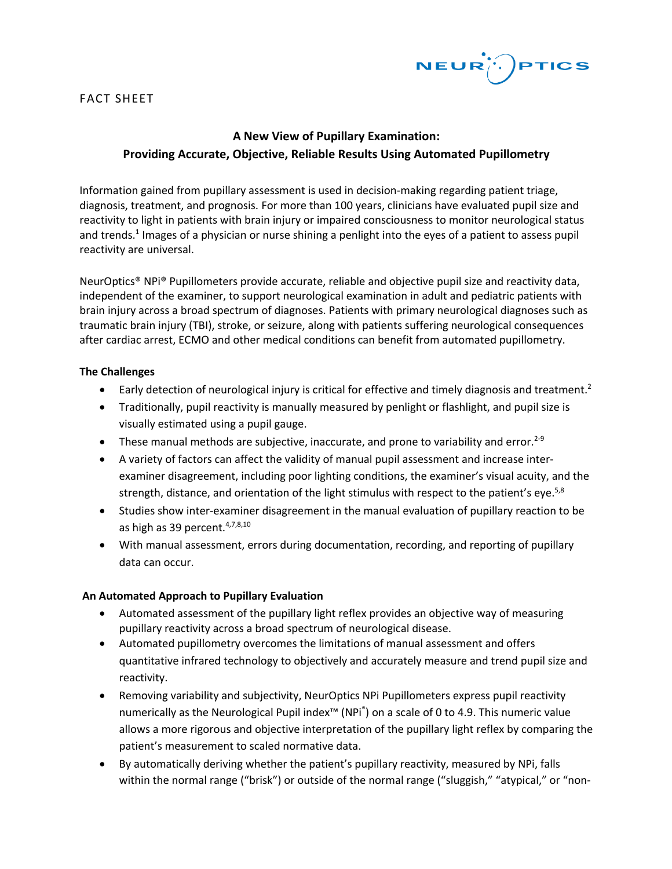

### FACT SHEET

# **A New View of Pupillary Examination: Providing Accurate, Objective, Reliable Results Using Automated Pupillometry**

Information gained from pupillary assessment is used in decision-making regarding patient triage, diagnosis, treatment, and prognosis. For more than 100 years, clinicians have evaluated pupil size and reactivity to light in patients with brain injury or impaired consciousness to monitor neurological status and trends. <sup>1</sup> Images of a physician or nurse shining a penlight into the eyes of a patient to assess pupil reactivity are universal.

NeurOptics® NPi® Pupillometers provide accurate, reliable and objective pupil size and reactivity data, independent of the examiner, to support neurological examination in adult and pediatric patients with brain injury across a broad spectrum of diagnoses. Patients with primary neurological diagnoses such as traumatic brain injury (TBI), stroke, or seizure, along with patients suffering neurological consequences after cardiac arrest, ECMO and other medical conditions can benefit from automated pupillometry.

#### **The Challenges**

- $\bullet$  Early detection of neurological injury is critical for effective and timely diagnosis and treatment.<sup>2</sup>
- Traditionally, pupil reactivity is manually measured by penlight or flashlight, and pupil size is visually estimated using a pupil gauge.
- These manual methods are subjective, inaccurate, and prone to variability and error.<sup>2-9</sup>
- A variety of factors can affect the validity of manual pupil assessment and increase interexaminer disagreement, including poor lighting conditions, the examiner's visual acuity, and the strength, distance, and orientation of the light stimulus with respect to the patient's eye.<sup>5,8</sup>
- Studies show inter-examiner disagreement in the manual evaluation of pupillary reaction to be as high as 39 percent. 4,7,8,10
- With manual assessment, errors during documentation, recording, and reporting of pupillary data can occur.

#### **An Automated Approach to Pupillary Evaluation**

- Automated assessment of the pupillary light reflex provides an objective way of measuring pupillary reactivity across a broad spectrum of neurological disease.
- Automated pupillometry overcomes the limitations of manual assessment and offers quantitative infrared technology to objectively and accurately measure and trend pupil size and reactivity.
- Removing variability and subjectivity, NeurOptics NPi Pupillometers express pupil reactivity numerically as the Neurological Pupil index<sup>™</sup> (NPi<sup>®</sup>) on a scale of 0 to 4.9. This numeric value allows a more rigorous and objective interpretation of the pupillary light reflex by comparing the patient's measurement to scaled normative data.
- By automatically deriving whether the patient's pupillary reactivity, measured by NPi, falls within the normal range ("brisk") or outside of the normal range ("sluggish," "atypical," or "non-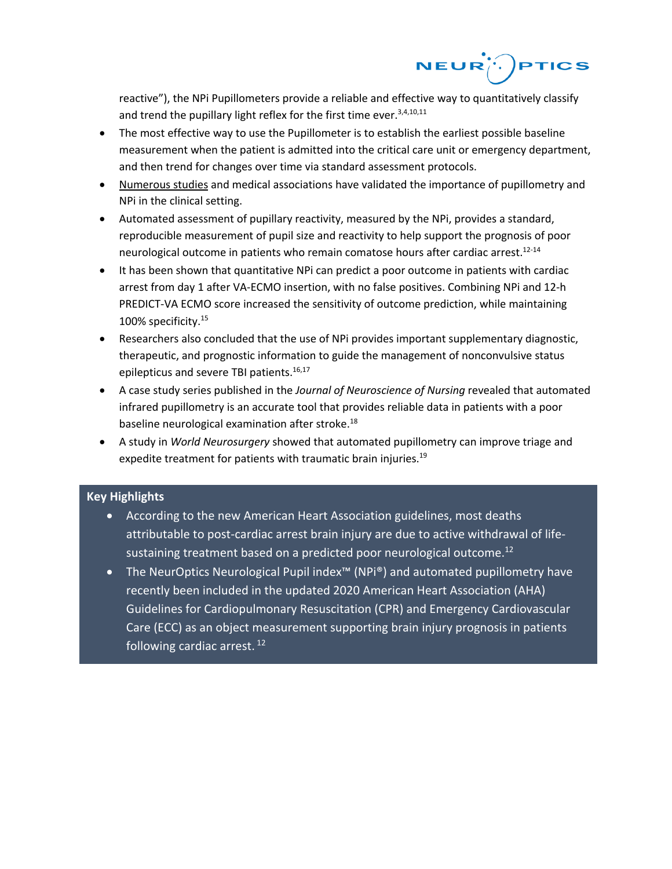

reactive"), the NPi Pupillometers provide a reliable and effective way to quantitatively classify and trend the pupillary light reflex for the first time ever.<sup>3,4,10,11</sup>

- The most effective way to use the Pupillometer is to establish the earliest possible baseline measurement when the patient is admitted into the critical care unit or emergency department, and then trend for changes over time via standard assessment protocols.
- Numerous studies and medical associations have validated the importance of pupillometry and NPi in the clinical setting.
- Automated assessment of pupillary reactivity, measured by the NPi, provides a standard, reproducible measurement of pupil size and reactivity to help support the prognosis of poor neurological outcome in patients who remain comatose hours after cardiac arrest.<sup>12-14</sup>
- It has been shown that quantitative NPi can predict a poor outcome in patients with cardiac arrest from day 1 after VA-ECMO insertion, with no false positives. Combining NPi and 12-h PREDICT-VA ECMO score increased the sensitivity of outcome prediction, while maintaining 100% specificity.15
- Researchers also concluded that the use of NPi provides important supplementary diagnostic, therapeutic, and prognostic information to guide the management of nonconvulsive status epilepticus and severe TBI patients.<sup>16,17</sup>
- A case study series published in the *Journal of Neuroscience of Nursing* revealed that automated infrared pupillometry is an accurate tool that provides reliable data in patients with a poor baseline neurological examination after stroke.<sup>18</sup>
- A study in *World Neurosurgery* showed that automated pupillometry can improve triage and expedite treatment for patients with traumatic brain injuries.<sup>19</sup>

## **Key Highlights**

- According to the new American Heart Association guidelines, most deaths attributable to post-cardiac arrest brain injury are due to active withdrawal of lifesustaining treatment based on a predicted poor neurological outcome.<sup>12</sup>
- The NeurOptics Neurological Pupil index™ (NPi®) and automated pupillometry have recently been included in the updated 2020 American Heart Association (AHA) Guidelines for Cardiopulmonary Resuscitation (CPR) and Emergency Cardiovascular Care (ECC) as an object measurement supporting brain injury prognosis in patients following cardiac arrest.<sup>12</sup>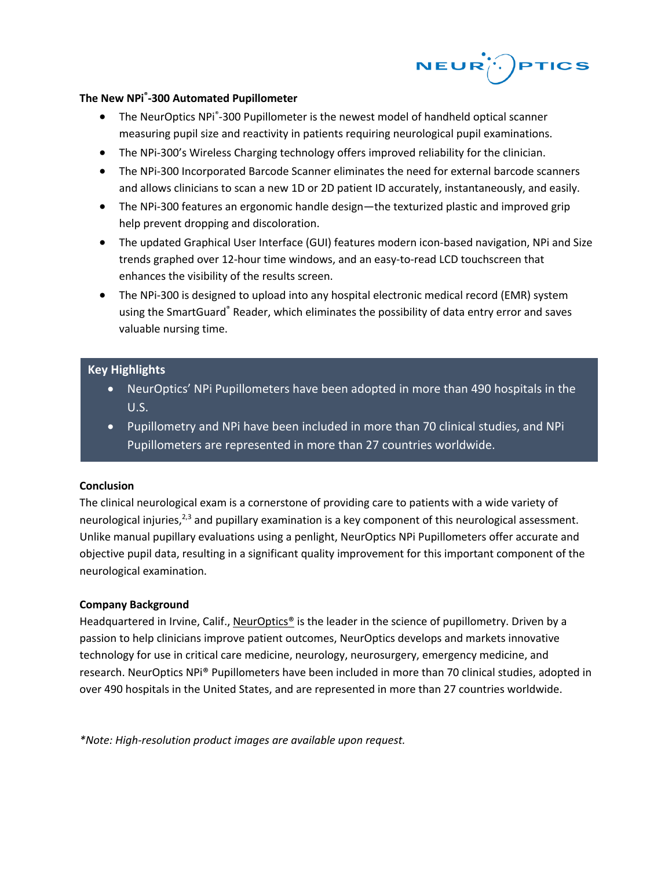

#### **The New NPi® -300 Automated Pupillometer**

- The NeurOptics NPI<sup>®</sup>-300 Pupillometer is the newest model of handheld optical scanner measuring pupil size and reactivity in patients requiring neurological pupil examinations.
- The NPi-300's Wireless Charging technology offers improved reliability for the clinician.
- The NPi-300 Incorporated Barcode Scanner eliminates the need for external barcode scanners and allows clinicians to scan a new 1D or 2D patient ID accurately, instantaneously, and easily.
- The NPi-300 features an ergonomic handle design—the texturized plastic and improved grip help prevent dropping and discoloration.
- The updated Graphical User Interface (GUI) features modern icon-based navigation, NPi and Size trends graphed over 12-hour time windows, and an easy-to-read LCD touchscreen that enhances the visibility of the results screen.
- The NPi-300 is designed to upload into any hospital electronic medical record (EMR) system using the SmartGuard® Reader, which eliminates the possibility of data entry error and saves valuable nursing time.

### **Key Highlights**

- NeurOptics' NPi Pupillometers have been adopted in more than 490 hospitals in the U.S.
- Pupillometry and NPi have been included in more than 70 clinical studies, and NPi Pupillometers are represented in more than 27 countries worldwide.

#### **Conclusion**

The clinical neurological exam is a cornerstone of providing care to patients with a wide variety of neurological injuries, $2,3$  and pupillary examination is a key component of this neurological assessment. Unlike manual pupillary evaluations using a penlight, NeurOptics NPi Pupillometers offer accurate and objective pupil data, resulting in a significant quality improvement for this important component of the neurological examination.

#### **Company Background**

Headquartered in Irvine, Calif., NeurOptics® is the leader in the science of pupillometry. Driven by a passion to help clinicians improve patient outcomes, NeurOptics develops and markets innovative technology for use in critical care medicine, neurology, neurosurgery, emergency medicine, and research. NeurOptics NPi® Pupillometers have been included in more than 70 clinical studies, adopted in over 490 hospitals in the United States, and are represented in more than 27 countries worldwide.

*\*Note: High-resolution product images are available upon request.*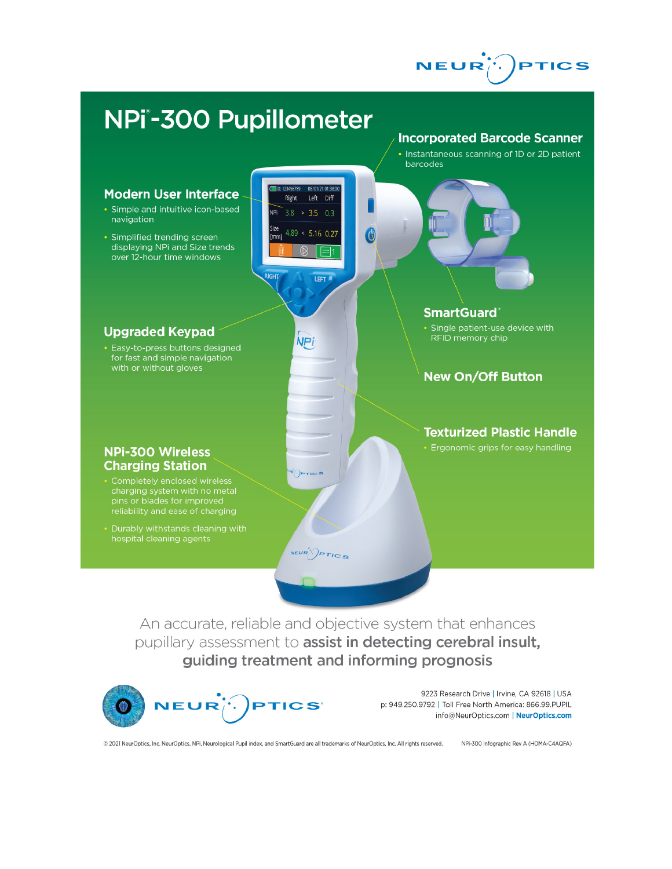



An accurate, reliable and objective system that enhances pupillary assessment to assist in detecting cerebral insult, guiding treatment and informing prognosis



9223 Research Drive | Irvine, CA 92618 | USA p: 949.250.9792 | Toll Free North America: 866.99.PUPIL info@NeurOptics.com | NeurOptics.com

© 2021 NeurOptics, Inc. NeurOptics, NPi, Neurological Pupil index, and SmartGuard are all trademarks of NeurOptics, Inc. All rights reserved.

NPi-300 Infographic Rev A (HOMA-C4AQFA)